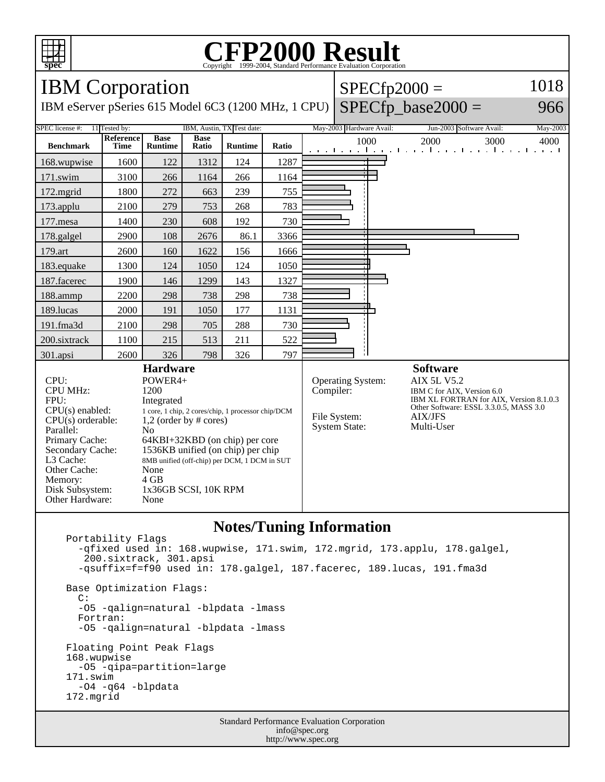

#### **CFP2000 Result** Copyright  $\odot$  1999-2004, Standard I

IBM Corporation

IBM eServer pSeries 615 Model 6C3 (1200 MHz, 1 CPU)

# $SPECfp2000 =$

## $SPECfp\_base2000 =$

966

1018

SPEC license #: 11 Tested by: IBM, Austin, TX Test date: May-2003 Hardware Avail: Jun-2003 Software Avail: May-2003 **Benchmark Reference Time Base Runtime Base Runtime Ratio** 1000 2000 3000 4000 168.wupwise 1600 122 1312 124 1287 171.swim | 3100 | 266 | 1164 | 266 | 1164 172.mgrid | 1800 | 272 | 663 | 239 | 755 173.applu | 2100 | 279 | 753 | 268 | 783 177.mesa | 1400 | 230 | 608 | 192 | 730 178.galgel | 2900 | 108 | 2676 | 86.1 | 3366 179.art 2600 160 1622 156 1666 183.equake 1300 124 1050 124 1050 187.facerec | 1900 | 146 | 1299 | 143 | 1327 188.ammp | 2200 | 298 | 738 | 298 | 738 189.lucas | 2000 | 191 | 1050 | 177 | 1131 191.fma3d 2100 298 705 288 730 200.sixtrack 1100 215 513 211 522 301.apsi 2600 326 798 326 797 **Hardware** CPU: POWER4+<br>CPU MHz: 1200 CPU MHz: FPU: Integrated CPU(s) enabled: 1 core, 1 chip, 2 cores/chip, 1 processor chip/DCM  $CPU(s)$  orderable:  $1,2$  (order by # cores) Parallel: No Primary Cache: 64KBI+32KBD (on chip) per core Secondary Cache: 1536KB unified (on chip) per chip L3 Cache: 8MB unified (off-chip) per DCM, 1 DCM in SUT Other Cache: None Other Cache: None<br>
Memory: 4 GB Memory: Disk Subsystem: 1x36GB SCSI, 10K RPM Other Hardware: None **Software** Operating System: AIX 5L V5.2 Compiler: IBM C for AIX, Version 6.0 IBM XL FORTRAN for AIX, Version 8.1.0.3 Other Software: ESSL 3.3.0.5, MASS 3.0 File System: AIX/JFS System State: Multi-User

## **Notes/Tuning Information**

Standard Performance Evaluation Corporation Portability Flags -qfixed used in: 168.wupwise, 171.swim, 172.mgrid, 173.applu, 178.galgel, 200.sixtrack, 301.apsi -qsuffix=f=f90 used in: 178.galgel, 187.facerec, 189.lucas, 191.fma3d Base Optimization Flags: C: -O5 -qalign=natural -blpdata -lmass Fortran: -O5 -qalign=natural -blpdata -lmass Floating Point Peak Flags 168.wupwise -O5 -qipa=partition=large 171.swim -O4 -q64 -blpdata 172.mgrid

info@spec.org http://www.spec.org